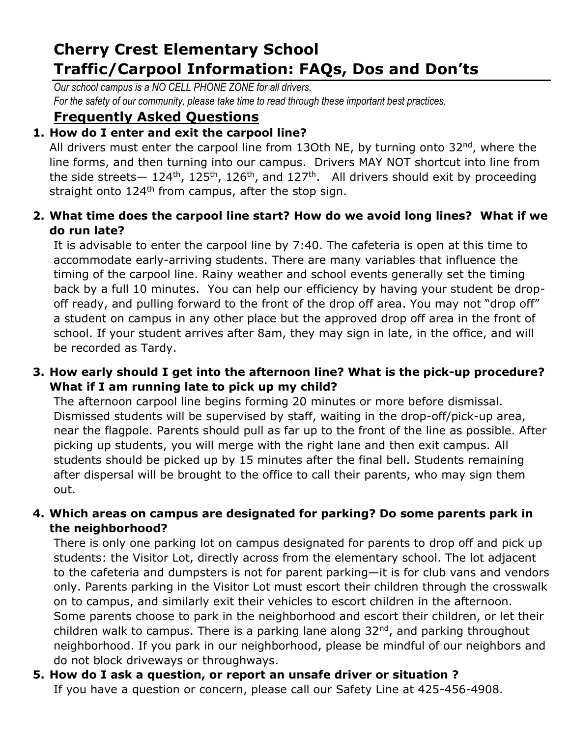# **Cherry Crest Elementary School Traffic/Carpool Information: FAQs, Dos and Don'ts**

*Our school campus is a NO CELL PHONE ZONE for all drivers. For the safety of our community, please take time to read through these important best practices.* 

### **Frequently Asked Questions**

### **1. How do I enter and exit the carpool line?**

All drivers must enter the carpool line from 13Oth NE, by turning onto  $32^{nd}$ , where the line forms, and then turning into our campus. Drivers MAY NOT shortcut into line from the side streets—  $124^{\text{th}}$ ,  $125^{\text{th}}$ ,  $126^{\text{th}}$ , and  $127^{\text{th}}$ . All drivers should exit by proceeding straight onto 124<sup>th</sup> from campus, after the stop sign.

#### **2. What time does the carpool line start? How do we avoid long lines? What if we do run late?**

It is advisable to enter the carpool line by 7:40. The cafeteria is open at this time to accommodate early-arriving students. There are many variables that influence the timing of the carpool line. Rainy weather and school events generally set the timing back by a full 10 minutes. You can help our efficiency by having your student be dropoff ready, and pulling forward to the front of the drop off area. You may not "drop off" a student on campus in any other place but the approved drop off area in the front of school. If your student arrives after 8am, they may sign in late, in the office, and will be recorded as Tardy.

#### **3. How early should I get into the afternoon line? What is the pick-up procedure? What if I am running late to pick up my child?**

The afternoon carpool line begins forming 20 minutes or more before dismissal. Dismissed students will be supervised by staff, waiting in the drop-off/pick-up area, near the flagpole. Parents should pull as far up to the front of the line as possible. After picking up students, you will merge with the right lane and then exit campus. All students should be picked up by 15 minutes after the final bell. Students remaining after dispersal will be brought to the office to call their parents, who may sign them out.

#### **4. Which areas on campus are designated for parking? Do some parents park in the neighborhood?**

There is only one parking lot on campus designated for parents to drop off and pick up students: the Visitor Lot, directly across from the elementary school. The lot adjacent to the cafeteria and dumpsters is not for parent parking—it is for club vans and vendors only. Parents parking in the Visitor Lot must escort their children through the crosswalk on to campus, and similarly exit their vehicles to escort children in the afternoon. Some parents choose to park in the neighborhood and escort their children, or let their children walk to campus. There is a parking lane along 32<sup>nd</sup>, and parking throughout neighborhood. If you park in our neighborhood, please be mindful of our neighbors and do not block driveways or throughways.

## **5. How do I ask a question, or report an unsafe driver or situation ?**

If you have a question or concern, please call our Safety Line at 425-456-4908.